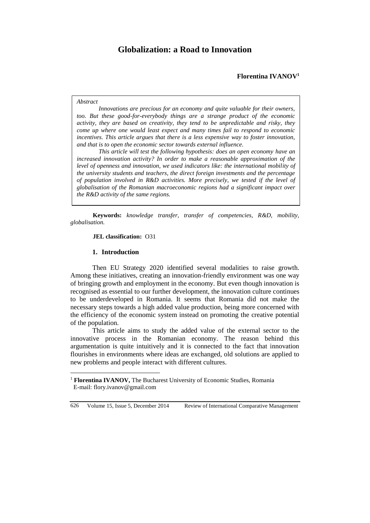# **Globalization: a Road to Innovation**

#### *Abstract*

*Innovations are precious for an economy and quite valuable for their owners, too. But these good-for-everybody things are a strange product of the economic activity, they are based on creativity, they tend to be unpredictable and risky, they come up where one would least expect and many times fail to respond to economic incentives. This article argues that there is a less expensive way to foster innovation, and that is to open the economic sector towards external influence.* 

*This article will test the following hypothesis: does an open economy have an increased innovation activity? In order to make a reasonable approximation of the level of openness and innovation, we used indicators like: the international mobility of the university students and teachers, the direct foreign investments and the percentage of population involved in R&D activities. More precisely, we tested if the level of globalisation of the Romanian macroeconomic regions had a significant impact over the R&D activity of the same regions.*

**Keywords:** *knowledge transfer, transfer of competencies, R&D, mobility, globalisation.*

#### **JEL classification:** O31

#### **1. Introduction**

 $\overline{a}$ 

Then EU Strategy 2020 identified several modalities to raise growth. Among these initiatives, creating an innovation-friendly environment was one way of bringing growth and employment in the economy. But even though innovation is recognised as essential to our further development, the innovation culture continues to be underdeveloped in Romania. It seems that Romania did not make the necessary steps towards a high added value production, being more concerned with the efficiency of the economic system instead on promoting the creative potential of the population.

This article aims to study the added value of the external sector to the innovative process in the Romanian economy. The reason behind this argumentation is quite intuitively and it is connected to the fact that innovation flourishes in environments where ideas are exchanged, old solutions are applied to new problems and people interact with different cultures.

<sup>&</sup>lt;sup>1</sup> **Florentina IVANOV,** The Bucharest University of Economic Studies, Romania E-mail: flory.ivanov@gmail.com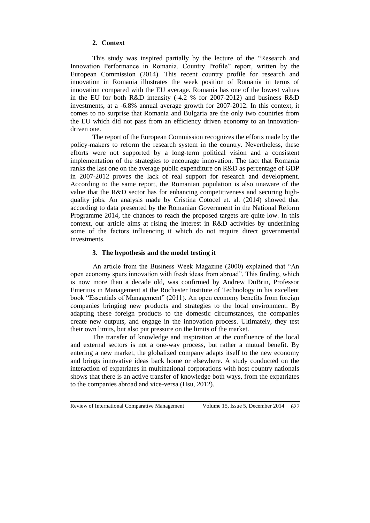# **2. Context**

This study was inspired partially by the lecture of the "Research and Innovation Performance in Romania. Country Profile" report, written by the European Commission (2014). This recent country profile for research and innovation in Romania illustrates the week position of Romania in terms of innovation compared with the EU average. Romania has one of the lowest values in the EU for both R&D intensity (-4.2 % for 2007-2012) and business R&D investments, at a -6.8% annual average growth for 2007-2012. In this context, it comes to no surprise that Romania and Bulgaria are the only two countries from the EU which did not pass from an efficiency driven economy to an innovationdriven one.

The report of the European Commission recognizes the efforts made by the policy-makers to reform the research system in the country. Nevertheless, these efforts were not supported by a long-term political vision and a consistent implementation of the strategies to encourage innovation. The fact that Romania ranks the last one on the average public expenditure on R&D as percentage of GDP in 2007-2012 proves the lack of real support for research and development. According to the same report, the Romanian population is also unaware of the value that the R&D sector has for enhancing competitiveness and securing highquality jobs. An analysis made by Cristina Cotocel et. al. (2014) showed that according to data presented by the Romanian Government in the National Reform Programme 2014, the chances to reach the proposed targets are quite low. In this context, our article aims at rising the interest in R&D activities by underlining some of the factors influencing it which do not require direct governmental investments.

## **3. The hypothesis and the model testing it**

An article from the Business Week Magazine (2000) explained that "An open economy spurs innovation with fresh ideas from abroad". This finding, which is now more than a decade old, was confirmed by Andrew DuBrin, Professor Emeritus in Management at the Rochester Institute of Technology in his excellent book "Essentials of Management" (2011). An open economy benefits from foreign companies bringing new products and strategies to the local environment. By adapting these foreign products to the domestic circumstances, the companies create new outputs, and engage in the innovation process. Ultimately, they test their own limits, but also put pressure on the limits of the market.

The transfer of knowledge and inspiration at the confluence of the local and external sectors is not a one-way process, but rather a mutual benefit. By entering a new market, the globalized company adapts itself to the new economy and brings innovative ideas back home or elsewhere. A study conducted on the interaction of expatriates in multinational corporations with host country nationals shows that there is an active transfer of knowledge both ways, from the expatriates to the companies abroad and vice-versa (Hsu, 2012).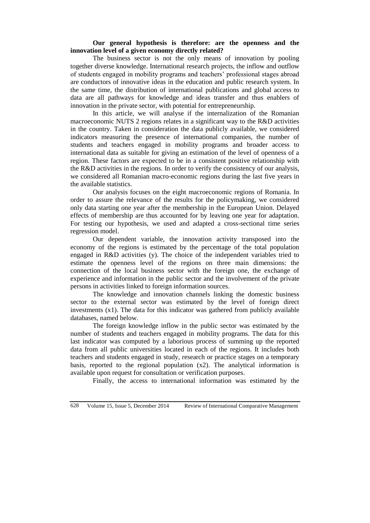## **Our general hypothesis is therefore: are the openness and the innovation level of a given economy directly related?**

The business sector is not the only means of innovation by pooling together diverse knowledge. International research projects, the inflow and outflow of students engaged in mobility programs and teachers' professional stages abroad are conductors of innovative ideas in the education and public research system. In the same time, the distribution of international publications and global access to data are all pathways for knowledge and ideas transfer and thus enablers of innovation in the private sector, with potential for entrepreneurship.

In this article, we will analyse if the internalization of the Romanian macroeconomic NUTS 2 regions relates in a significant way to the R&D activities in the country. Taken in consideration the data publicly available, we considered indicators measuring the presence of international companies, the number of students and teachers engaged in mobility programs and broader access to international data as suitable for giving an estimation of the level of openness of a region. These factors are expected to be in a consistent positive relationship with the R&D activities in the regions. In order to verify the consistency of our analysis, we considered all Romanian macro-economic regions during the last five years in the available statistics.

Our analysis focuses on the eight macroeconomic regions of Romania. In order to assure the relevance of the results for the policymaking, we considered only data starting one year after the membership in the European Union. Delayed effects of membership are thus accounted for by leaving one year for adaptation. For testing our hypothesis, we used and adapted a cross-sectional time series regression model.

Our dependent variable, the innovation activity transposed into the economy of the regions is estimated by the percentage of the total population engaged in R&D activities (y). The choice of the independent variables tried to estimate the openness level of the regions on three main dimensions: the connection of the local business sector with the foreign one, the exchange of experience and information in the public sector and the involvement of the private persons in activities linked to foreign information sources.

The knowledge and innovation channels linking the domestic business sector to the external sector was estimated by the level of foreign direct investments (x1). The data for this indicator was gathered from publicly available databases, named below.

The foreign knowledge inflow in the public sector was estimated by the number of students and teachers engaged in mobility programs. The data for this last indicator was computed by a laborious process of summing up the reported data from all public universities located in each of the regions. It includes both teachers and students engaged in study, research or practice stages on a temporary basis, reported to the regional population  $(x2)$ . The analytical information is available upon request for consultation or verification purposes.

Finally, the access to international information was estimated by the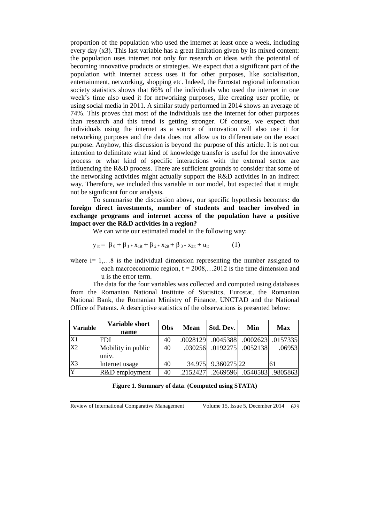proportion of the population who used the internet at least once a week, including every day (x3). This last variable has a great limitation given by its mixed content: the population uses internet not only for research or ideas with the potential of becoming innovative products or strategies. We expect that a significant part of the population with internet access uses it for other purposes, like socialisation, entertainment, networking, shopping etc. Indeed, the Eurostat regional information society statistics shows that 66% of the individuals who used the internet in one week's time also used it for networking purposes, like creating user profile, or using social media in 2011. A similar study performed in 2014 shows an average of 74%. This proves that most of the individuals use the internet for other purposes than research and this trend is getting stronger. Of course, we expect that individuals using the internet as a source of innovation will also use it for networking purposes and the data does not allow us to differentiate on the exact purpose. Anyhow, this discussion is beyond the purpose of this article. It is not our intention to delimitate what kind of knowledge transfer is useful for the innovative process or what kind of specific interactions with the external sector are influencing the R&D process. There are sufficient grounds to consider that some of the networking activities might actually support the R&D activities in an indirect way. Therefore, we included this variable in our model, but expected that it might not be significant for our analysis.

To summarise the discussion above, our specific hypothesis becomes**: do foreign direct investments, number of students and teacher involved in exchange programs and internet access of the population have a positive impact over the R&D activities in a region?**

We can write our estimated model in the following way:

$$
y_{it} = \beta_0 + \beta_1 * x_{1it} + \beta_2 * x_{2it} + \beta_3 * x_{3it} + u_{it}
$$
 (1)

where  $i=1,...8$  is the individual dimension representing the number assigned to each macroeconomic region,  $t = 2008,...2012$  is the time dimension and u is the error term.

The data for the four variables was collected and computed using databases from the Romanian National Institute of Statistics, Eurostat, the Romanian National Bank, the Romanian Ministry of Finance, UNCTAD and the National Office of Patents. A descriptive statistics of the observations is presented below:

| <b>Variable</b> | Variable short<br>name      | Obs | <b>Mean</b> | Std. Dev.                   | Min                          | <b>Max</b> |
|-----------------|-----------------------------|-----|-------------|-----------------------------|------------------------------|------------|
| X1              | <b>FDI</b>                  | 40  | .0028129    |                             | .0045388 .0002623 .0157335   |            |
| X2              | Mobility in public<br>univ. | 40  |             | .030256  .0192275  .0052138 |                              | .06953     |
| X3              | Internet usage              | 40  |             | 34.975 9.360275 22          |                              | 61         |
| $\overline{Y}$  | R&D employment              | 40  | .2152427    |                             | .2669596  .0540583  .9805863 |            |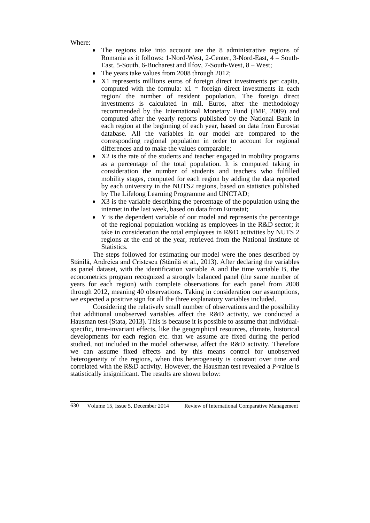Where:

- The regions take into account are the 8 administrative regions of Romania as it follows: 1-Nord-West, 2-Center, 3-Nord-East, 4 – South-East, 5-South, 6-Bucharest and Ilfov, 7-South-West, 8 – West;
- The years take values from 2008 through 2012;
- X1 represents millions euros of foreign direct investments per capita, computed with the formula:  $x1 =$  foreign direct investments in each region/ the number of resident population. The foreign direct investments is calculated in mil. Euros, after the methodology recommended by the International Monetary Fund (IMF, 2009) and computed after the yearly reports published by the National Bank in each region at the beginning of each year, based on data from Eurostat database. All the variables in our model are compared to the corresponding regional population in order to account for regional differences and to make the values comparable;
- X2 is the rate of the students and teacher engaged in mobility programs as a percentage of the total population. It is computed taking in consideration the number of students and teachers who fulfilled mobility stages, computed for each region by adding the data reported by each university in the NUTS2 regions, based on statistics published by The Lifelong Learning Programme and UNCTAD;
- X3 is the variable describing the percentage of the population using the internet in the last week, based on data from Eurostat;
- Y is the dependent variable of our model and represents the percentage of the regional population working as employees in the R&D sector; it take in consideration the total employees in R&D activities by NUTS 2 regions at the end of the year, retrieved from the National Institute of Statistics.

The steps followed for estimating our model were the ones described by Stănilă, Andreica and Cristescu (Stănilă et al., 2013). After declaring the variables as panel dataset, with the identification variable A and the time variable B, the econometrics program recognized a strongly balanced panel (the same number of years for each region) with complete observations for each panel from 2008 through 2012, meaning 40 observations. Taking in consideration our assumptions, we expected a positive sign for all the three explanatory variables included.

Considering the relatively small number of observations and the possibility that additional unobserved variables affect the R&D activity, we conducted a Hausman test (Stata, 2013). This is because it is possible to assume that individualspecific, time-invariant effects, like the geographical resources, climate, historical developments for each region etc. that we assume are fixed during the period studied, not included in the model otherwise, affect the R&D activity. Therefore we can assume fixed effects and by this means control for unobserved heterogeneity of the regions, when this heterogeneity is constant over time and correlated with the R&D activity. However, the Hausman test revealed a P-value is statistically insignificant. The results are shown below: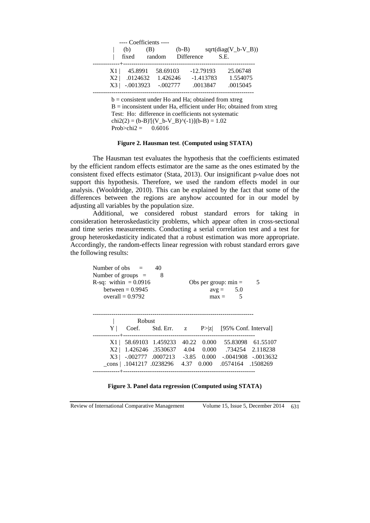|                                             |                                    | ---- Coefficients ---- |                                    |                                        |      |                                  |
|---------------------------------------------|------------------------------------|------------------------|------------------------------------|----------------------------------------|------|----------------------------------|
| (b)                                         |                                    | (B)                    | $(b-B)$                            |                                        |      | $sqrt(diag(V_b-V_B))$            |
|                                             |                                    | fixed random           |                                    | Difference                             | S.E. |                                  |
| X1 <sup>1</sup><br>X2 <sub>1</sub><br>$X_3$ | 45.8991<br>.0124632<br>$-.0013923$ |                        | 58.69103<br>1.426246<br>$-.002777$ | $-12.79193$<br>$-1.413783$<br>.0013847 |      | 25.06748<br>1.554075<br>.0015045 |
|                                             |                                    |                        |                                    |                                        |      |                                  |

 $b =$  consistent under Ho and Ha; obtained from xtreg  $B =$  inconsistent under Ha, efficient under Ho; obtained from xtreg Test: Ho: difference in coefficients not systematic  $chi2(2) = (b-B)'[(V_b-V_B)^(-1)](b-B) = 1.02$ Prob>chi2 =  $0.6016$ 

#### **Figure 2. Hausman test**. **(Computed using STATA)**

The Hausman test evaluates the hypothesis that the coefficients estimated by the efficient random effects estimator are the same as the ones estimated by the consistent fixed effects estimator (Stata, 2013). Our insignificant p-value does not support this hypothesis. Therefore, we used the random effects model in our analysis. (Wooldridge, 2010). This can be explained by the fact that some of the differences between the regions are anyhow accounted for in our model by adjusting all variables by the population size.

Additional, we considered robust standard errors for taking in consideration heteroskedasticity problems, which appear often in cross-sectional and time series measurements. Conducting a serial correlation test and a test for group heteroskedasticity indicated that a robust estimation was more appropriate. Accordingly, the random-effects linear regression with robust standard errors gave the following results:

| Number of obs $=$<br>Number of groups $=$ | R-sq: within $= 0.0916$<br>between $= 0.9945$<br>overall $= 0.9792$ | 40<br>8                            |       |            | Obs per group: $min =$<br>$avg = 5.0$<br>5<br>$max =$ | 5                    |
|-------------------------------------------|---------------------------------------------------------------------|------------------------------------|-------|------------|-------------------------------------------------------|----------------------|
|                                           | <b>Robust</b>                                                       |                                    |       |            |                                                       |                      |
| Y <sub>1</sub>                            |                                                                     | $Coef.$ Std. Err. $z$              |       | P >  Z     | [95% Conf. Interval]                                  |                      |
|                                           | $X1 \mid 58.69103 \mid 1.459233$                                    |                                    | 40.22 | 0.000      |                                                       | 55.83098 61.55107    |
| X2 <sub>1</sub>                           | 1.426246 .3530637                                                   |                                    |       | 4.04 0.000 |                                                       | .734254 2.118238     |
| $X3 \perp$                                |                                                                     | $-.002777$ .0007213 $-.3.85$ 0.000 |       |            |                                                       | $-.0041908-.0013632$ |
|                                           |                                                                     | cons   .1041217 .0238296           |       | 4.37 0.000 | .0574164 .1508269                                     |                      |
|                                           |                                                                     |                                    |       |            |                                                       |                      |

|  |  | Figure 3. Panel data regression (Computed using STATA) |
|--|--|--------------------------------------------------------|
|  |  |                                                        |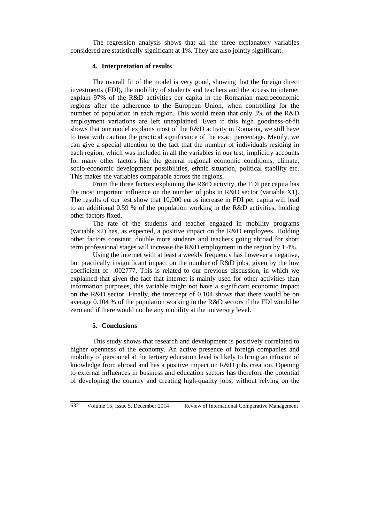The regression analysis shows that all the three explanatory variables considered are statistically significant at 1%. They are also jointly significant.

## **4. Interpretation of results**

The overall fit of the model is very good, showing that the foreign direct investments (FDI), the mobility of students and teachers and the access to internet explain 97% of the R&D activities per capita in the Romanian macroeconomic regions after the adherence to the European Union, when controlling for the number of population in each region. This would mean that only 3% of the R&D employment variations are left unexplained. Even if this high goodness-of-fit shows that our model explains most of the R&D activity in Romania, we still have to treat with caution the practical significance of the exact percentage. Mainly, we can give a special attention to the fact that the number of individuals residing in each region, which was included in all the variables in our test, implicitly accounts for many other factors like the general regional economic conditions, climate, socio-economic development possibilities, ethnic situation, political stability etc. This makes the variables comparable across the regions.

From the three factors explaining the R&D activity, the FDI per capita has the most important influence on the number of jobs in R&D sector (variable X1). The results of our test show that 10,000 euros increase in FDI per capita will lead to an additional 0.59 % of the population working in the R&D activities, holding other factors fixed.

The rate of the students and teacher engaged in mobility programs (variable x2) has, as expected, a positive impact on the R&D employees. Holding other factors constant, double more students and teachers going abroad for short term professional stages will increase the R&D employment in the region by 1.4%.

Using the internet with at least a weekly frequency has however a negative, but practically insignificant impact on the number of R&D jobs, given by the low coefficient of -.002777. This is related to our previous discussion, in which we explained that given the fact that internet is mainly used for other activities than information purposes, this variable might not have a significant economic impact on the R&D sector. Finally, the intercept of 0.104 shows that there would be on average 0.104 % of the population working in the R&D sectors if the FDI would be zero and if there would not be any mobility at the university level.

## **5. Conclusions**

This study shows that research and development is positively correlated to higher openness of the economy. An active presence of foreign companies and mobility of personnel at the tertiary education level is likely to bring an infusion of knowledge from abroad and has a positive impact on R&D jobs creation. Opening to external influences in business and education sectors has therefore the potential of developing the country and creating high-quality jobs, without relying on the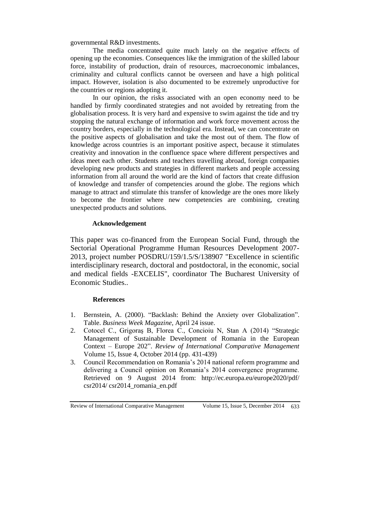governmental R&D investments.

The media concentrated quite much lately on the negative effects of opening up the economies. Consequences like the immigration of the skilled labour force, instability of production, drain of resources, macroeconomic imbalances, criminality and cultural conflicts cannot be overseen and have a high political impact. However, isolation is also documented to be extremely unproductive for the countries or regions adopting it.

In our opinion, the risks associated with an open economy need to be handled by firmly coordinated strategies and not avoided by retreating from the globalisation process. It is very hard and expensive to swim against the tide and try stopping the natural exchange of information and work force movement across the country borders, especially in the technological era. Instead, we can concentrate on the positive aspects of globalisation and take the most out of them. The flow of knowledge across countries is an important positive aspect, because it stimulates creativity and innovation in the confluence space where different perspectives and ideas meet each other. Students and teachers travelling abroad, foreign companies developing new products and strategies in different markets and people accessing information from all around the world are the kind of factors that create diffusion of knowledge and transfer of competencies around the globe. The regions which manage to attract and stimulate this transfer of knowledge are the ones more likely to become the frontier where new competencies are combining, creating unexpected products and solutions.

# **Acknowledgement**

This paper was co-financed from the European Social Fund, through the Sectorial Operational Programme Human Resources Development 2007- 2013, project number POSDRU/159/1.5/S/138907 "Excellence in scientific interdisciplinary research, doctoral and postdoctoral, in the economic, social and medical fields -EXCELIS", coordinator The Bucharest University of Economic Studies..

## **References**

- 1. Bernstein, A. (2000). "Backlash: Behind the Anxiety over Globalization". Table. *Business Week Magazine*, April 24 issue.
- 2. Cotocel C., Grigoraş B, Florea C., Concioiu N, Stan A (2014) "Strategic Management of Sustainable Development of Romania in the European Context – Europe 202". *Review of International Comparative Management* Volume 15, Issue 4, October 2014 (pp. 431-439)
- 3. Council Recommendation on Romania's 2014 national reform programme and delivering a Council opinion on Romania's 2014 convergence programme. Retrieved on 9 August 2014 from: http://ec.europa.eu/europe2020/pdf/ csr2014/ csr2014\_romania\_en.pdf